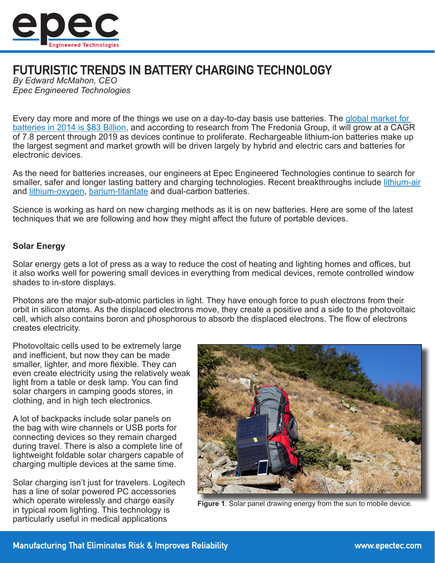

# FUTURISTIC TRENDS IN BATTERY CHARGING TECHNOLOGY

*By Edward McMahon, CEO Epec Engineered Technologies*

Every day more and more of the things we use on a day-to-day basis use batteries. The [global market for](http://www.freedoniagroup.com/World-Batteries.html)  [batteries in 2014 is \\$83 Billion](http://www.freedoniagroup.com/World-Batteries.html), and according to research from The Fredonia Group, it will grow at a CAGR of 7.8 percent through 2019 as devices continue to proliferate. Rechargeable lithium-ion batteries make up the largest segment and market growth will be driven largely by hybrid and electric cars and batteries for electronic devices.

As the need for batteries increases, our engineers at Epec Engineered Technologies continue to search for smaller, safer and longer lasting battery and charging technologies. Recent breakthroughs include [lithium-air](http://www.scientificamerican.com/article/lithium-air-oxygen-battery/) and [lithium-oxygen,](http://www.sciencedirect.com/science/article/pii/S0378775311001108) [barium-titantate](http://www.technologyreview.com/news/407207/battery-breakthrough/) and dual-carbon batteries.

Science is working as hard on new charging methods as it is on new batteries. Here are some of the latest techniques that we are following and how they might affect the future of portable devices.

## **Solar Energy**

Solar energy gets a lot of press as a way to reduce the cost of heating and lighting homes and offices, but it also works well for powering small devices in everything from medical devices, remote controlled window shades to in-store displays.

Photons are the major sub-atomic particles in light. They have enough force to push electrons from their orbit in silicon atoms. As the displaced electrons move, they create a positive and a side to the photovoltaic cell, which also contains boron and phosphorous to absorb the displaced electrons. The flow of electrons creates electricity.

Photovoltaic cells used to be extremely large and inefficient, but now they can be made smaller, lighter, and more flexible. They can even create electricity using the relatively weak light from a table or desk lamp. You can find solar chargers in camping goods stores, in clothing, and in high tech electronics.

A lot of backpacks include solar panels on the bag with wire channels or USB ports for connecting devices so they remain charged during travel. There is also a complete line of lightweight foldable solar chargers capable of charging multiple devices at the same time.

Solar charging isn't just for travelers. Logitech has a line of solar powered PC accessories which operate wirelessly and charge easily in typical room lighting. This technology is particularly useful in medical applications



**Figure 1**. Solar panel drawing energy from the sun to mobile device.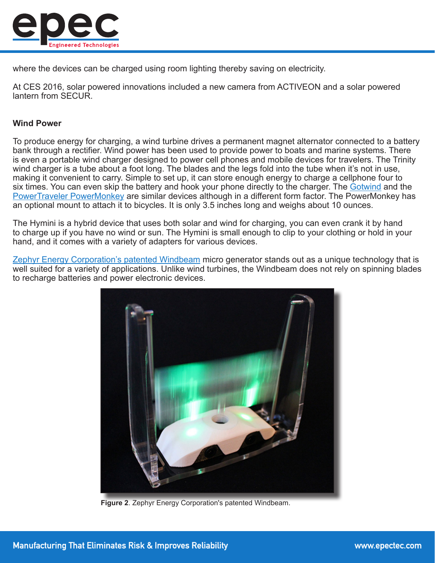

where the devices can be charged using room lighting thereby saving on electricity.

At CES 2016, solar powered innovations included a new camera from ACTIVEON and a solar powered lantern from SECUR.

### **Wind Power**

To produce energy for charging, a wind turbine drives a permanent magnet alternator connected to a battery bank through a rectifier. Wind power has been used to provide power to boats and marine systems. There is even a portable wind charger designed to power cell phones and mobile devices for travelers. The Trinity wind charger is a tube about a foot long. The blades and the legs fold into the tube when it's not in use, making it convenient to carry. Simple to set up, it can store enough energy to charge a cellphone four to six times. You can even skip the battery and hook your phone directly to the charger. The [Gotwind](http://www.gizmag.com/go/7576/) and the [PowerTraveler PowerMonkey](https://www.powertraveller.com/) are similar devices although in a different form factor. The PowerMonkey has an optional mount to attach it to bicycles. It is only 3.5 inches long and weighs about 10 ounces.

The Hymini is a hybrid device that uses both solar and wind for charging, you can even crank it by hand to charge up if you have no wind or sun. The Hymini is small enough to clip to your clothing or hold in your hand, and it comes with a variety of adapters for various devices.

[Zephyr Energy Corporation's patented Windbeam](http://zephyrenergy.com/) micro generator stands out as a unique technology that is well suited for a variety of applications. Unlike wind turbines, the Windbeam does not rely on spinning blades to recharge batteries and power electronic devices.



**Figure 2**. Zephyr Energy Corporation's patented Windbeam.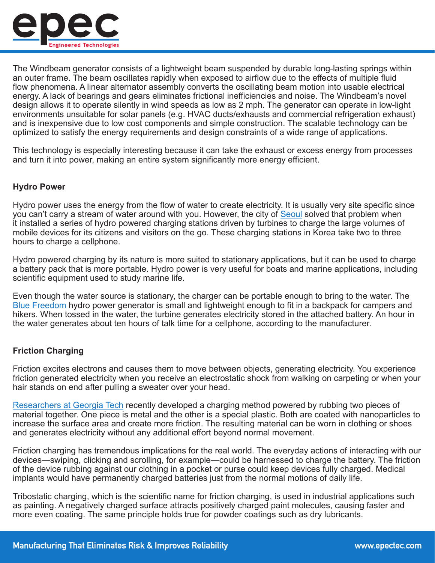

The Windbeam generator consists of a lightweight beam suspended by durable long-lasting springs within an outer frame. The beam oscillates rapidly when exposed to airflow due to the effects of multiple fluid flow phenomena. A linear alternator assembly converts the oscillating beam motion into usable electrical energy. A lack of bearings and gears eliminates frictional inefficiencies and noise. The Windbeam's novel design allows it to operate silently in wind speeds as low as 2 mph. The generator can operate in low-light environments unsuitable for solar panels (e.g. HVAC ducts/exhausts and commercial refrigeration exhaust) and is inexpensive due to low cost components and simple construction. The scalable technology can be optimized to satisfy the energy requirements and design constraints of a wide range of applications.

This technology is especially interesting because it can take the exhaust or excess energy from processes and turn it into power, making an entire system significantly more energy efficient.

### **Hydro Power**

Hydro power uses the energy from the flow of water to create electricity. It is usually very site specific since you can't carry a stream of water around with you. However, the city of [Seoul](http://inhabitat.com/seoul-installing-hydro-powered-smartphone-charging-stations/) solved that problem when it installed a series of hydro powered charging stations driven by turbines to charge the large volumes of mobile devices for its citizens and visitors on the go. These charging stations in Korea take two to three hours to charge a cellphone.

Hydro powered charging by its nature is more suited to stationary applications, but it can be used to charge a battery pack that is more portable. Hydro power is very useful for boats and marine applications, including scientific equipment used to study marine life.

Even though the water source is stationary, the charger can be portable enough to bring to the water. The [Blue Freedom](http://www.itechwearer.com/blue-freedom-the-smallest-portable-hydro-power-plant/) hydro power generator is small and lightweight enough to fit in a backpack for campers and hikers. When tossed in the water, the turbine generates electricity stored in the attached battery. An hour in the water generates about ten hours of talk time for a cellphone, according to the manufacturer.

#### **Friction Charging**

Friction excites electrons and causes them to move between objects, generating electricity. You experience friction generated electricity when you receive an electrostatic shock from walking on carpeting or when your hair stands on end after pulling a sweater over your head.

[Researchers at Georgia Tech](http://www.technologyreview.com/news/507386/how-friction-may-someday-charge-your-cell-phone/) recently developed a charging method powered by rubbing two pieces of material together. One piece is metal and the other is a special plastic. Both are coated with nanoparticles to increase the surface area and create more friction. The resulting material can be worn in clothing or shoes and generates electricity without any additional effort beyond normal movement.

Friction charging has tremendous implications for the real world. The everyday actions of interacting with our devices—swiping, clicking and scrolling, for example—could be harnessed to charge the battery. The friction of the device rubbing against our clothing in a pocket or purse could keep devices fully charged. Medical implants would have permanently charged batteries just from the normal motions of daily life.

Tribostatic charging, which is the scientific name for friction charging, is used in industrial applications such as painting. A negatively charged surface attracts positively charged paint molecules, causing faster and more even coating. The same principle holds true for powder coatings such as dry lubricants.